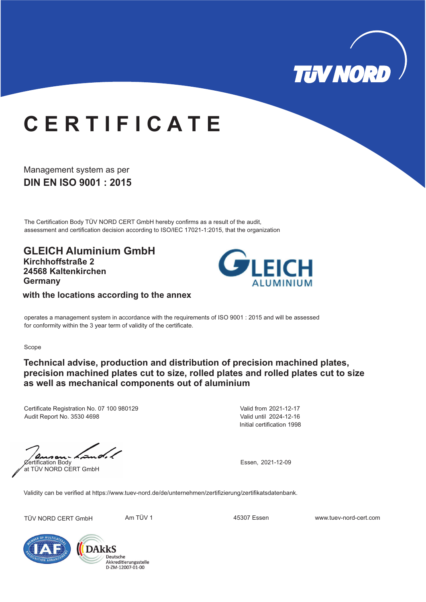

## **C E R T I F I C A T E**

**DIN EN ISO 9001 : 2015** Management system as per

The Certification Body TÜV NORD CERT GmbH hereby confirms as a result of the audit, assessment and certification decision according to ISO/IEC 17021-1:2015, that the organization

**GLEICH Aluminium GmbH Kirchhoffstraße 2 24568 Kaltenkirchen Germany**



**with the locations according to the annex**

operates a management system in accordance with the requirements of ISO 9001 : 2015 and will be assessed for conformity within the 3 year term of validity of the certificate.

Scope

## **Technical advise, production and distribution of precision machined plates, precision machined plates cut to size, rolled plates and rolled plates cut to size as well as mechanical components out of aluminium**

Certificate Registration No. 07 100 980129 Audit Report No. 3530 4698

Initial certification 1998 Valid from 2021-12-17 Valid until 2024-12-16

 $\sqrt{a}$ <br>
Certification Body<br>
Essen, 2021-12-09 s a at TÜV NORD CERT GmbH

Validity can be verified at https://www.tuev-nord.de/de/unternehmen/zertifizierung/zertifikatsdatenbank.

TÜV NORD CERT GmbH Am TÜV 1 45307 Essen www.tuev-nord-cert.com